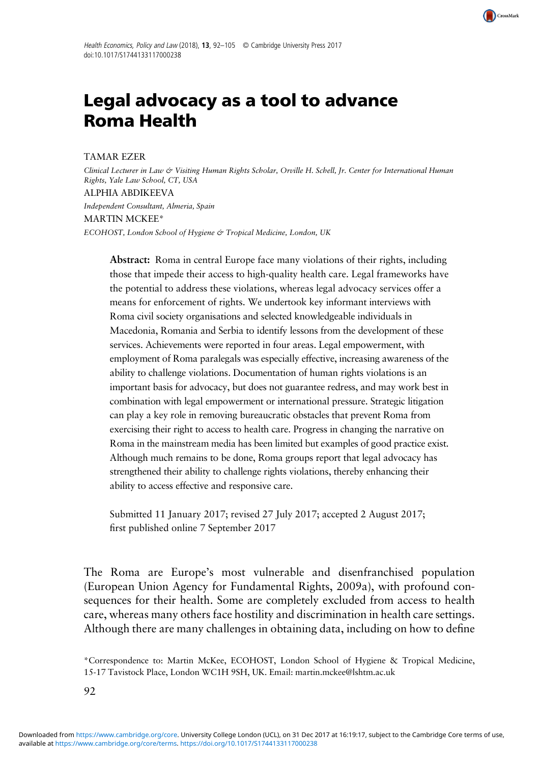

# Legal advocacy as a tool to advance Roma Health

TAMAR EZER

Clinical Lecturer in Law & Visiting Human Rights Scholar, Orville H. Schell, Jr. Center for International Human Rights, Yale Law School, CT, USA ALPHIA ABDIKEEVA Independent Consultant, Almeria, Spain MARTIN MCKEE\* ECOHOST, London School of Hygiene & Tropical Medicine, London, UK

Abstract: Roma in central Europe face many violations of their rights, including those that impede their access to high-quality health care. Legal frameworks have the potential to address these violations, whereas legal advocacy services offer a means for enforcement of rights. We undertook key informant interviews with Roma civil society organisations and selected knowledgeable individuals in Macedonia, Romania and Serbia to identify lessons from the development of these services. Achievements were reported in four areas. Legal empowerment, with employment of Roma paralegals was especially effective, increasing awareness of the ability to challenge violations. Documentation of human rights violations is an important basis for advocacy, but does not guarantee redress, and may work best in combination with legal empowerment or international pressure. Strategic litigation can play a key role in removing bureaucratic obstacles that prevent Roma from exercising their right to access to health care. Progress in changing the narrative on Roma in the mainstream media has been limited but examples of good practice exist. Although much remains to be done, Roma groups report that legal advocacy has strengthened their ability to challenge rights violations, thereby enhancing their ability to access effective and responsive care.

Submitted 11 January 2017; revised 27 July 2017; accepted 2 August 2017; first published online 7 September 2017

The Roma are Europe's most vulnerable and disenfranchised population (European Union Agency for Fundamental Rights, [2009a](#page-12-0)), with profound consequences for their health. Some are completely excluded from access to health care, whereas many others face hostility and discrimination in health care settings. Although there are many challenges in obtaining data, including on how to define

<sup>\*</sup>Correspondence to: Martin McKee, ECOHOST, London School of Hygiene & Tropical Medicine, 15-17 Tavistock Place, London WC1H 9SH, UK. Email: [martin.mckee@lshtm.ac.uk](mailto:martin.mckee@lshtm.ac.uk)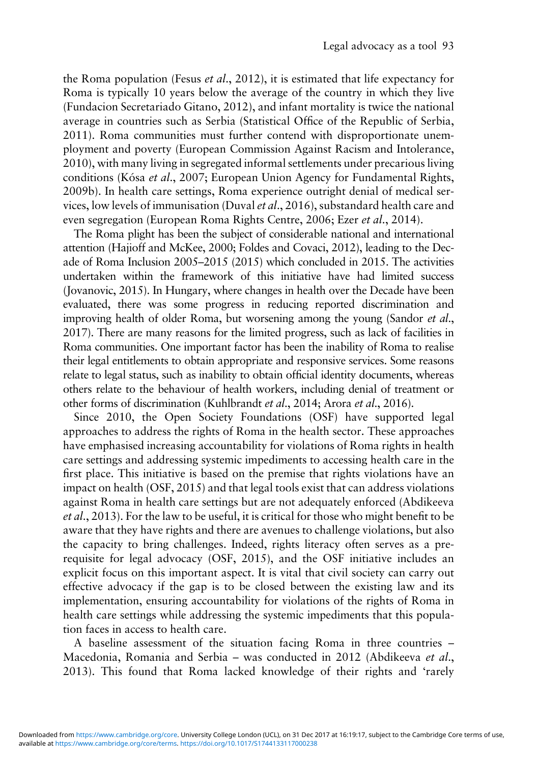the Roma population (Fesus *et al.*, [2012\)](#page-13-0), it is estimated that life expectancy for Roma is typically 10 years below the average of the country in which they live (Fundacion Secretariado Gitano, [2012\)](#page-13-0), and infant mortality is twice the national average in countries such as Serbia (Statistical Office of the Republic of Serbia, [2011\)](#page-13-0). Roma communities must further contend with disproportionate unemployment and poverty (European Commission Against Racism and Intolerance, [2010\)](#page-12-0), with many living in segregated informal settlements under precarious living conditions (Kósa et al., [2007;](#page-13-0) European Union Agency for Fundamental Rights, [2009b\)](#page-12-0). In health care settings, Roma experience outright denial of medical services, low levels of immunisation (Duval et al., [2016\)](#page-12-0), substandard health care and even segregation (European Roma Rights Centre, [2006;](#page-12-0) Ezer et al., [2014](#page-12-0)).

The Roma plight has been the subject of considerable national and international attention (Hajioff and McKee, [2000](#page-13-0); Foldes and Covaci, [2012](#page-13-0)), leading to the Decade of Roma Inclusion 2005–2015 [\(2015\)](#page-12-0) which concluded in 2015. The activities undertaken within the framework of this initiative have had limited success (Jovanovic, [2015](#page-13-0)). In Hungary, where changes in health over the Decade have been evaluated, there was some progress in reducing reported discrimination and improving health of older Roma, but worsening among the young (Sandor et al., [2017](#page-13-0)). There are many reasons for the limited progress, such as lack of facilities in Roma communities. One important factor has been the inability of Roma to realise their legal entitlements to obtain appropriate and responsive services. Some reasons relate to legal status, such as inability to obtain official identity documents, whereas others relate to the behaviour of health workers, including denial of treatment or other forms of discrimination (Kuhlbrandt et al., [2014](#page-13-0); Arora et al., [2016\)](#page-12-0).

Since 2010, the Open Society Foundations (OSF) have supported legal approaches to address the rights of Roma in the health sector. These approaches have emphasised increasing accountability for violations of Roma rights in health care settings and addressing systemic impediments to accessing health care in the first place. This initiative is based on the premise that rights violations have an impact on health (OSF, [2015](#page-13-0)) and that legal tools exist that can address violations against Roma in health care settings but are not adequately enforced (Abdikeeva et al., [2013\)](#page-12-0). For the law to be useful, it is critical for those who might benefit to be aware that they have rights and there are avenues to challenge violations, but also the capacity to bring challenges. Indeed, rights literacy often serves as a prerequisite for legal advocacy (OSF, [2015\)](#page-13-0), and the OSF initiative includes an explicit focus on this important aspect. It is vital that civil society can carry out effective advocacy if the gap is to be closed between the existing law and its implementation, ensuring accountability for violations of the rights of Roma in health care settings while addressing the systemic impediments that this population faces in access to health care.

A baseline assessment of the situation facing Roma in three countries – Macedonia, Romania and Serbia – was conducted in 2012 (Abdikeeva et al., [2013\)](#page-12-0). This found that Roma lacked knowledge of their rights and 'rarely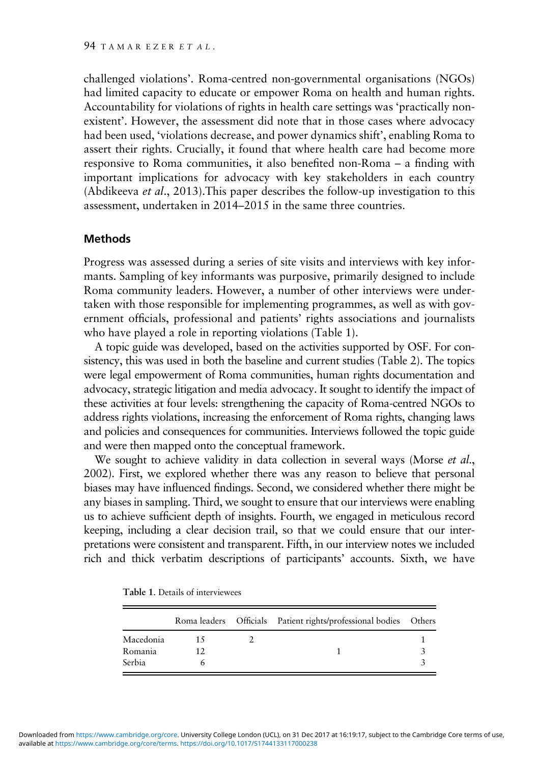challenged violations'. Roma-centred non-governmental organisations (NGOs) had limited capacity to educate or empower Roma on health and human rights. Accountability for violations of rights in health care settings was 'practically nonexistent'. However, the assessment did note that in those cases where advocacy had been used, 'violations decrease, and power dynamics shift', enabling Roma to assert their rights. Crucially, it found that where health care had become more responsive to Roma communities, it also benefited non-Roma – a finding with important implications for advocacy with key stakeholders in each country (Abdikeeva et al., [2013](#page-12-0)).This paper describes the follow-up investigation to this assessment, undertaken in 2014–2015 in the same three countries.

### Methods

Progress was assessed during a series of site visits and interviews with key informants. Sampling of key informants was purposive, primarily designed to include Roma community leaders. However, a number of other interviews were undertaken with those responsible for implementing programmes, as well as with government officials, professional and patients' rights associations and journalists who have played a role in reporting violations (Table 1).

A topic guide was developed, based on the activities supported by OSF. For consistency, this was used in both the baseline and current studies [\(Table 2\)](#page-3-0). The topics were legal empowerment of Roma communities, human rights documentation and advocacy, strategic litigation and media advocacy. It sought to identify the impact of these activities at four levels: strengthening the capacity of Roma-centred NGOs to address rights violations, increasing the enforcement of Roma rights, changing laws and policies and consequences for communities. Interviews followed the topic guide and were then mapped onto the conceptual framework.

We sought to achieve validity in data collection in several ways (Morse et al., [2002](#page-13-0)). First, we explored whether there was any reason to believe that personal biases may have influenced findings. Second, we considered whether there might be any biases in sampling. Third, we sought to ensure that our interviews were enabling us to achieve sufficient depth of insights. Fourth, we engaged in meticulous record keeping, including a clear decision trail, so that we could ensure that our interpretations were consistent and transparent. Fifth, in our interview notes we included rich and thick verbatim descriptions of participants' accounts. Sixth, we have

|           |  | Roma leaders Officials Patient rights/professional bodies Others |  |
|-----------|--|------------------------------------------------------------------|--|
| Macedonia |  |                                                                  |  |
| Romania   |  |                                                                  |  |
| Serbia    |  |                                                                  |  |

Table 1. Details of interviewees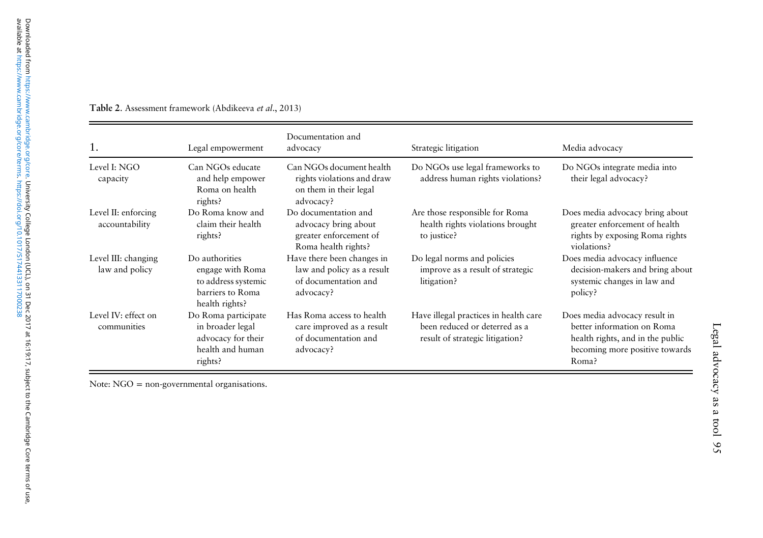| 1.                                    | Legal empowerment                                                                               | Documentation and<br>advocacy                                                                 | Strategic litigation                                                                                      | Media advocacy                                                                                                                             |
|---------------------------------------|-------------------------------------------------------------------------------------------------|-----------------------------------------------------------------------------------------------|-----------------------------------------------------------------------------------------------------------|--------------------------------------------------------------------------------------------------------------------------------------------|
| Level I: NGO<br>capacity              | Can NGOs educate<br>and help empower<br>Roma on health<br>rights?                               | Can NGOs document health<br>rights violations and draw<br>on them in their legal<br>advocacy? | Do NGOs use legal frameworks to<br>address human rights violations?                                       | Do NGOs integrate media into<br>their legal advocacy?                                                                                      |
| Level II: enforcing<br>accountability | Do Roma know and<br>claim their health<br>rights?                                               | Do documentation and<br>advocacy bring about<br>greater enforcement of<br>Roma health rights? | Are those responsible for Roma<br>health rights violations brought<br>to justice?                         | Does media advocacy bring about<br>greater enforcement of health<br>rights by exposing Roma rights<br>violations?                          |
| Level III: changing<br>law and policy | Do authorities<br>engage with Roma<br>to address systemic<br>barriers to Roma<br>health rights? | Have there been changes in<br>law and policy as a result<br>of documentation and<br>advocacy? | Do legal norms and policies<br>improve as a result of strategic<br>litigation?                            | Does media advocacy influence<br>decision-makers and bring about<br>systemic changes in law and<br>policy?                                 |
| Level IV: effect on<br>communities    | Do Roma participate<br>in broader legal<br>advocacy for their<br>health and human<br>rights?    | Has Roma access to health<br>care improved as a result<br>of documentation and<br>advocacy?   | Have illegal practices in health care<br>been reduced or deterred as a<br>result of strategic litigation? | Does media advocacy result in<br>better information on Roma<br>health rights, and in the public<br>becoming more positive towards<br>Roma? |

<span id="page-3-0"></span>Table 2. Assessment framework (Abdikeeva et al., [2013](#page-12-0))

Note: NGO = non-governmental organisations.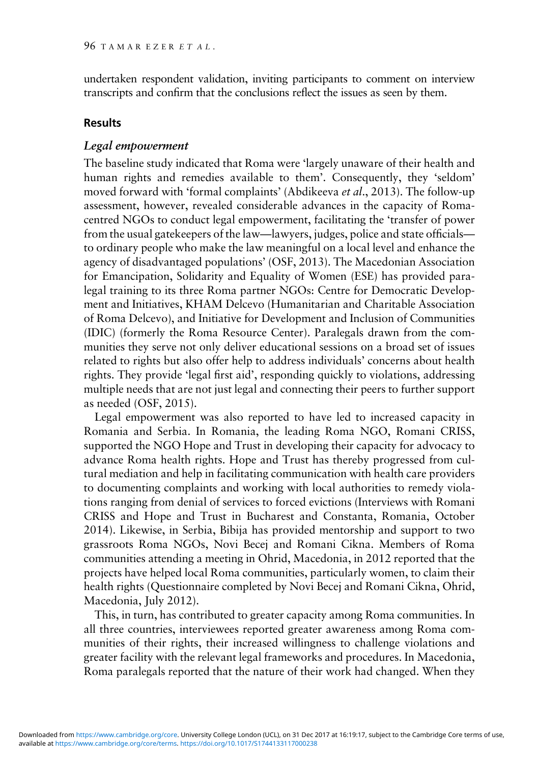undertaken respondent validation, inviting participants to comment on interview transcripts and confirm that the conclusions reflect the issues as seen by them.

#### Results

## Legal empowerment

The baseline study indicated that Roma were 'largely unaware of their health and human rights and remedies available to them'. Consequently, they 'seldom' moved forward with 'formal complaints' (Abdikeeva et al., [2013](#page-12-0)). The follow-up assessment, however, revealed considerable advances in the capacity of Romacentred NGOs to conduct legal empowerment, facilitating the 'transfer of power from the usual gatekeepers of the law—lawyers, judges, police and state officials to ordinary people who make the law meaningful on a local level and enhance the agency of disadvantaged populations' (OSF, [2013](#page-13-0)). The Macedonian Association for Emancipation, Solidarity and Equality of Women (ESE) has provided paralegal training to its three Roma partner NGOs: Centre for Democratic Development and Initiatives, KHAM Delcevo (Humanitarian and Charitable Association of Roma Delcevo), and Initiative for Development and Inclusion of Communities (IDIC) (formerly the Roma Resource Center). Paralegals drawn from the communities they serve not only deliver educational sessions on a broad set of issues related to rights but also offer help to address individuals' concerns about health rights. They provide 'legal first aid', responding quickly to violations, addressing multiple needs that are not just legal and connecting their peers to further support as needed (OSF, [2015](#page-13-0)).

Legal empowerment was also reported to have led to increased capacity in Romania and Serbia. In Romania, the leading Roma NGO, Romani CRISS, supported the NGO Hope and Trust in developing their capacity for advocacy to advance Roma health rights. Hope and Trust has thereby progressed from cultural mediation and help in facilitating communication with health care providers to documenting complaints and working with local authorities to remedy violations ranging from denial of services to forced evictions (Interviews with Romani CRISS and Hope and Trust in Bucharest and Constanta, Romania, October 2014). Likewise, in Serbia, Bibija has provided mentorship and support to two grassroots Roma NGOs, Novi Becej and Romani Cikna. Members of Roma communities attending a meeting in Ohrid, Macedonia, in 2012 reported that the projects have helped local Roma communities, particularly women, to claim their health rights (Questionnaire completed by Novi Becej and Romani Cikna, Ohrid, Macedonia, July 2012).

This, in turn, has contributed to greater capacity among Roma communities. In all three countries, interviewees reported greater awareness among Roma communities of their rights, their increased willingness to challenge violations and greater facility with the relevant legal frameworks and procedures. In Macedonia, Roma paralegals reported that the nature of their work had changed. When they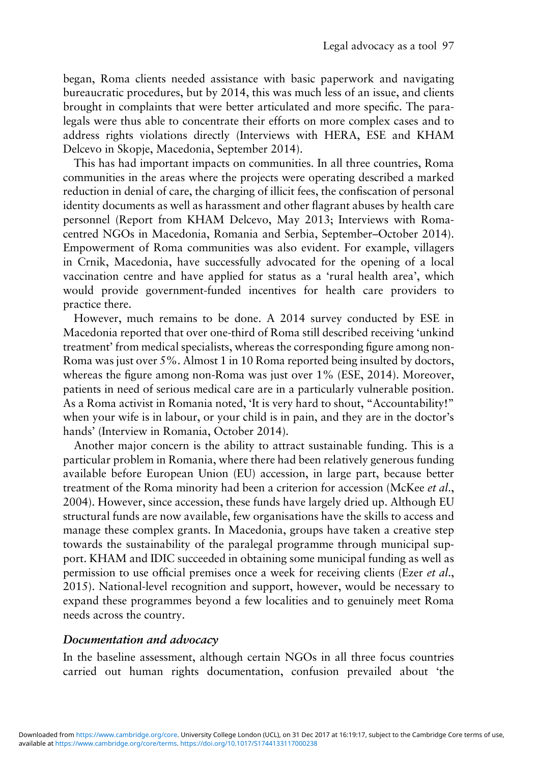began, Roma clients needed assistance with basic paperwork and navigating bureaucratic procedures, but by 2014, this was much less of an issue, and clients brought in complaints that were better articulated and more specific. The paralegals were thus able to concentrate their efforts on more complex cases and to address rights violations directly (Interviews with HERA, ESE and KHAM Delcevo in Skopje, Macedonia, September 2014).

This has had important impacts on communities. In all three countries, Roma communities in the areas where the projects were operating described a marked reduction in denial of care, the charging of illicit fees, the confiscation of personal identity documents as well as harassment and other flagrant abuses by health care personnel (Report from KHAM Delcevo, May 2013; Interviews with Romacentred NGOs in Macedonia, Romania and Serbia, September–October 2014). Empowerment of Roma communities was also evident. For example, villagers in Crnik, Macedonia, have successfully advocated for the opening of a local vaccination centre and have applied for status as a 'rural health area', which would provide government-funded incentives for health care providers to practice there.

However, much remains to be done. A 2014 survey conducted by ESE in Macedonia reported that over one-third of Roma still described receiving 'unkind treatment' from medical specialists, whereas the corresponding figure among non-Roma was just over 5%. Almost 1 in 10 Roma reported being insulted by doctors, whereas the figure among non-Roma was just over 1% (ESE, [2014\)](#page-12-0). Moreover, patients in need of serious medical care are in a particularly vulnerable position. As a Roma activist in Romania noted, 'It is very hard to shout, "Accountability!" when your wife is in labour, or your child is in pain, and they are in the doctor's hands' (Interview in Romania, October 2014).

Another major concern is the ability to attract sustainable funding. This is a particular problem in Romania, where there had been relatively generous funding available before European Union (EU) accession, in large part, because better treatment of the Roma minority had been a criterion for accession (McKee et al., [2004\)](#page-13-0). However, since accession, these funds have largely dried up. Although EU structural funds are now available, few organisations have the skills to access and manage these complex grants. In Macedonia, groups have taken a creative step towards the sustainability of the paralegal programme through municipal support. KHAM and IDIC succeeded in obtaining some municipal funding as well as permission to use official premises once a week for receiving clients (Ezer et al., [2015\)](#page-12-0). National-level recognition and support, however, would be necessary to expand these programmes beyond a few localities and to genuinely meet Roma needs across the country.

#### Documentation and advocacy

In the baseline assessment, although certain NGOs in all three focus countries carried out human rights documentation, confusion prevailed about 'the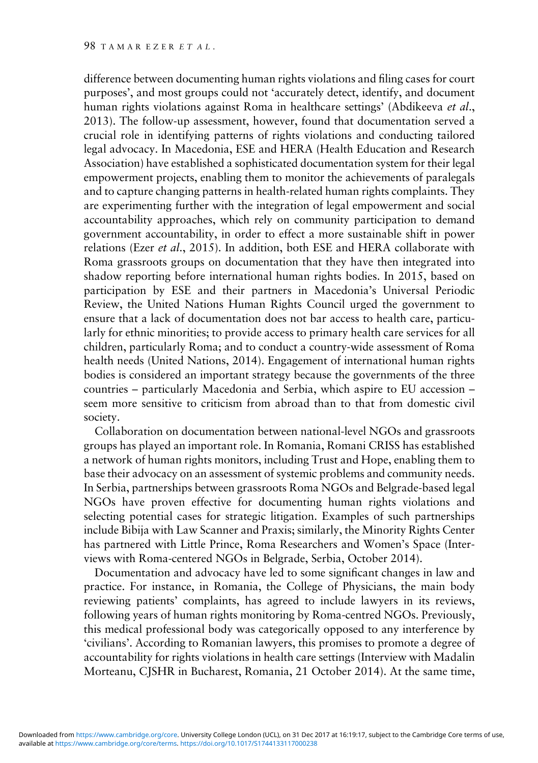difference between documenting human rights violations and filing cases for court purposes', and most groups could not 'accurately detect, identify, and document human rights violations against Roma in healthcare settings' (Abdikeeva et al., [2013\)](#page-12-0). The follow-up assessment, however, found that documentation served a crucial role in identifying patterns of rights violations and conducting tailored legal advocacy. In Macedonia, ESE and HERA (Health Education and Research Association) have established a sophisticated documentation system for their legal empowerment projects, enabling them to monitor the achievements of paralegals and to capture changing patterns in health-related human rights complaints. They are experimenting further with the integration of legal empowerment and social accountability approaches, which rely on community participation to demand government accountability, in order to effect a more sustainable shift in power relations (Ezer et al., [2015\)](#page-12-0). In addition, both ESE and HERA collaborate with Roma grassroots groups on documentation that they have then integrated into shadow reporting before international human rights bodies. In 2015, based on participation by ESE and their partners in Macedonia's Universal Periodic Review, the United Nations Human Rights Council urged the government to ensure that a lack of documentation does not bar access to health care, particularly for ethnic minorities; to provide access to primary health care services for all children, particularly Roma; and to conduct a country-wide assessment of Roma health needs (United Nations, [2014](#page-13-0)). Engagement of international human rights bodies is considered an important strategy because the governments of the three countries – particularly Macedonia and Serbia, which aspire to EU accession – seem more sensitive to criticism from abroad than to that from domestic civil society.

Collaboration on documentation between national-level NGOs and grassroots groups has played an important role. In Romania, Romani CRISS has established a network of human rights monitors, including Trust and Hope, enabling them to base their advocacy on an assessment of systemic problems and community needs. In Serbia, partnerships between grassroots Roma NGOs and Belgrade-based legal NGOs have proven effective for documenting human rights violations and selecting potential cases for strategic litigation. Examples of such partnerships include Bibija with Law Scanner and Praxis; similarly, the Minority Rights Center has partnered with Little Prince, Roma Researchers and Women's Space (Interviews with Roma-centered NGOs in Belgrade, Serbia, October 2014).

Documentation and advocacy have led to some significant changes in law and practice. For instance, in Romania, the College of Physicians, the main body reviewing patients' complaints, has agreed to include lawyers in its reviews, following years of human rights monitoring by Roma-centred NGOs. Previously, this medical professional body was categorically opposed to any interference by 'civilians'. According to Romanian lawyers, this promises to promote a degree of accountability for rights violations in health care settings (Interview with Madalin Morteanu, CJSHR in Bucharest, Romania, 21 October 2014). At the same time,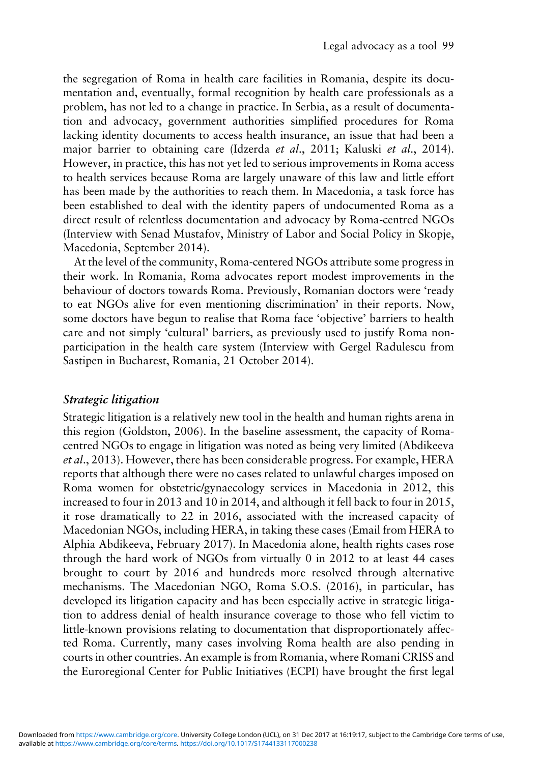the segregation of Roma in health care facilities in Romania, despite its documentation and, eventually, formal recognition by health care professionals as a problem, has not led to a change in practice. In Serbia, as a result of documentation and advocacy, government authorities simplified procedures for Roma lacking identity documents to access health insurance, an issue that had been a major barrier to obtaining care (Idzerda et al., [2011;](#page-13-0) Kaluski et al., [2014](#page-13-0)). However, in practice, this has not yet led to serious improvements in Roma access to health services because Roma are largely unaware of this law and little effort has been made by the authorities to reach them. In Macedonia, a task force has been established to deal with the identity papers of undocumented Roma as a direct result of relentless documentation and advocacy by Roma-centred NGOs (Interview with Senad Mustafov, Ministry of Labor and Social Policy in Skopje, Macedonia, September 2014).

At the level of the community, Roma-centered NGOs attribute some progress in their work. In Romania, Roma advocates report modest improvements in the behaviour of doctors towards Roma. Previously, Romanian doctors were 'ready to eat NGOs alive for even mentioning discrimination' in their reports. Now, some doctors have begun to realise that Roma face 'objective' barriers to health care and not simply 'cultural' barriers, as previously used to justify Roma nonparticipation in the health care system (Interview with Gergel Radulescu from Sastipen in Bucharest, Romania, 21 October 2014).

# Strategic litigation

Strategic litigation is a relatively new tool in the health and human rights arena in this region (Goldston, [2006](#page-13-0)). In the baseline assessment, the capacity of Romacentred NGOs to engage in litigation was noted as being very limited (Abdikeeva et al., [2013\)](#page-12-0). However, there has been considerable progress. For example, HERA reports that although there were no cases related to unlawful charges imposed on Roma women for obstetric/gynaecology services in Macedonia in 2012, this increased to four in 2013 and 10 in 2014, and although it fell back to four in 2015, it rose dramatically to 22 in 2016, associated with the increased capacity of Macedonian NGOs, including HERA, in taking these cases (Email from HERA to Alphia Abdikeeva, February 2017). In Macedonia alone, health rights cases rose through the hard work of NGOs from virtually 0 in 2012 to at least 44 cases brought to court by 2016 and hundreds more resolved through alternative mechanisms. The Macedonian NGO, Roma S.O.S. ([2016\)](#page-13-0), in particular, has developed its litigation capacity and has been especially active in strategic litigation to address denial of health insurance coverage to those who fell victim to little-known provisions relating to documentation that disproportionately affected Roma. Currently, many cases involving Roma health are also pending in courts in other countries. An example is from Romania, where Romani CRISS and the Euroregional Center for Public Initiatives (ECPI) have brought the first legal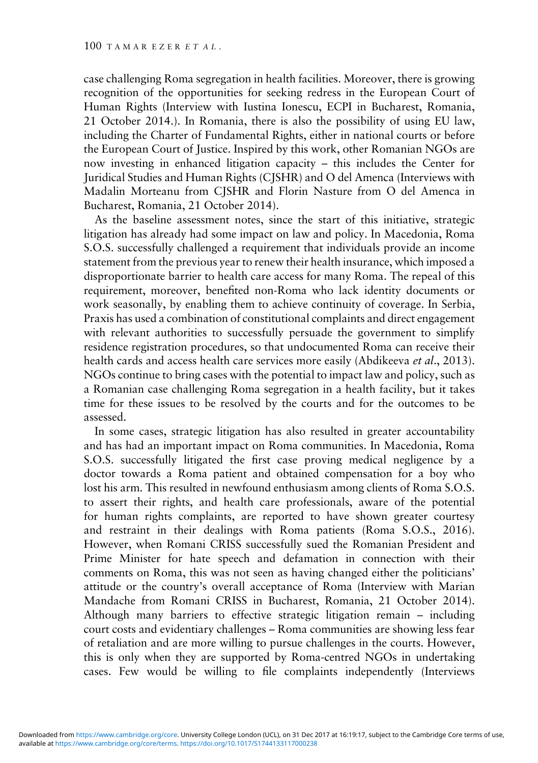case challenging Roma segregation in health facilities. Moreover, there is growing recognition of the opportunities for seeking redress in the European Court of Human Rights (Interview with Iustina Ionescu, ECPI in Bucharest, Romania, 21 October 2014.). In Romania, there is also the possibility of using EU law, including the Charter of Fundamental Rights, either in national courts or before the European Court of Justice. Inspired by this work, other Romanian NGOs are now investing in enhanced litigation capacity – this includes the Center for Juridical Studies and Human Rights (CJSHR) and O del Amenca (Interviews with Madalin Morteanu from CJSHR and Florin Nasture from O del Amenca in Bucharest, Romania, 21 October 2014).

As the baseline assessment notes, since the start of this initiative, strategic litigation has already had some impact on law and policy. In Macedonia, Roma S.O.S. successfully challenged a requirement that individuals provide an income statement from the previous year to renew their health insurance, which imposed a disproportionate barrier to health care access for many Roma. The repeal of this requirement, moreover, benefited non-Roma who lack identity documents or work seasonally, by enabling them to achieve continuity of coverage. In Serbia, Praxis has used a combination of constitutional complaints and direct engagement with relevant authorities to successfully persuade the government to simplify residence registration procedures, so that undocumented Roma can receive their health cards and access health care services more easily (Abdikeeva et al., [2013](#page-12-0)). NGOs continue to bring cases with the potential to impact law and policy, such as a Romanian case challenging Roma segregation in a health facility, but it takes time for these issues to be resolved by the courts and for the outcomes to be assessed.

In some cases, strategic litigation has also resulted in greater accountability and has had an important impact on Roma communities. In Macedonia, Roma S.O.S. successfully litigated the first case proving medical negligence by a doctor towards a Roma patient and obtained compensation for a boy who lost his arm. This resulted in newfound enthusiasm among clients of Roma S.O.S. to assert their rights, and health care professionals, aware of the potential for human rights complaints, are reported to have shown greater courtesy and restraint in their dealings with Roma patients (Roma S.O.S., [2016](#page-13-0)). However, when Romani CRISS successfully sued the Romanian President and Prime Minister for hate speech and defamation in connection with their comments on Roma, this was not seen as having changed either the politicians' attitude or the country's overall acceptance of Roma (Interview with Marian Mandache from Romani CRISS in Bucharest, Romania, 21 October 2014). Although many barriers to effective strategic litigation remain – including court costs and evidentiary challenges – Roma communities are showing less fear of retaliation and are more willing to pursue challenges in the courts. However, this is only when they are supported by Roma-centred NGOs in undertaking cases. Few would be willing to file complaints independently (Interviews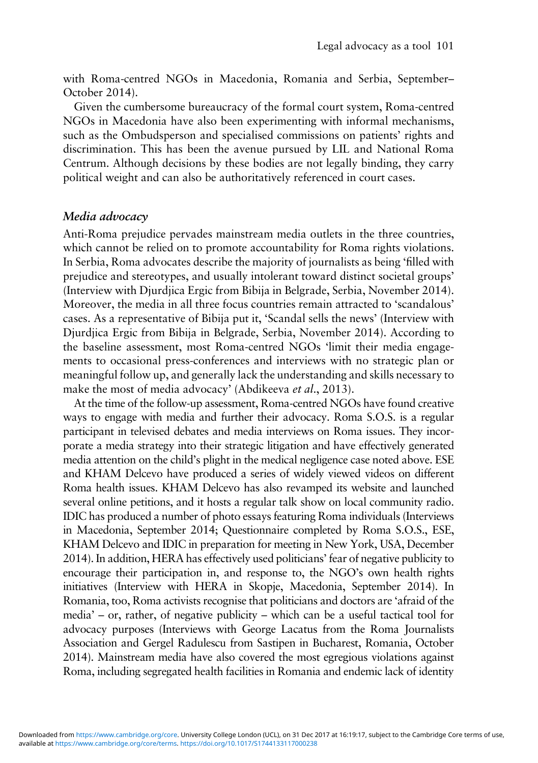with Roma-centred NGOs in Macedonia, Romania and Serbia, September– October 2014).

Given the cumbersome bureaucracy of the formal court system, Roma-centred NGOs in Macedonia have also been experimenting with informal mechanisms, such as the Ombudsperson and specialised commissions on patients' rights and discrimination. This has been the avenue pursued by LIL and National Roma Centrum. Although decisions by these bodies are not legally binding, they carry political weight and can also be authoritatively referenced in court cases.

# Media advocacy

Anti-Roma prejudice pervades mainstream media outlets in the three countries, which cannot be relied on to promote accountability for Roma rights violations. In Serbia, Roma advocates describe the majority of journalists as being 'filled with prejudice and stereotypes, and usually intolerant toward distinct societal groups' (Interview with Djurdjica Ergic from Bibija in Belgrade, Serbia, November 2014). Moreover, the media in all three focus countries remain attracted to 'scandalous' cases. As a representative of Bibija put it, 'Scandal sells the news' (Interview with Djurdjica Ergic from Bibija in Belgrade, Serbia, November 2014). According to the baseline assessment, most Roma-centred NGOs 'limit their media engagements to occasional press-conferences and interviews with no strategic plan or meaningful follow up, and generally lack the understanding and skills necessary to make the most of media advocacy' (Abdikeeva et al., [2013\)](#page-12-0).

At the time of the follow-up assessment, Roma-centred NGOs have found creative ways to engage with media and further their advocacy. Roma S.O.S. is a regular participant in televised debates and media interviews on Roma issues. They incorporate a media strategy into their strategic litigation and have effectively generated media attention on the child's plight in the medical negligence case noted above. ESE and KHAM Delcevo have produced a series of widely viewed videos on different Roma health issues. KHAM Delcevo has also revamped its website and launched several online petitions, and it hosts a regular talk show on local community radio. IDIC has produced a number of photo essays featuring Roma individuals (Interviews in Macedonia, September 2014; Questionnaire completed by Roma S.O.S., ESE, KHAM Delcevo and IDIC in preparation for meeting in New York, USA, December 2014). In addition, HERA has effectively used politicians' fear of negative publicity to encourage their participation in, and response to, the NGO's own health rights initiatives (Interview with HERA in Skopje, Macedonia, September 2014). In Romania, too, Roma activists recognise that politicians and doctors are 'afraid of the media' – or, rather, of negative publicity – which can be a useful tactical tool for advocacy purposes (Interviews with George Lacatus from the Roma Journalists Association and Gergel Radulescu from Sastipen in Bucharest, Romania, October 2014). Mainstream media have also covered the most egregious violations against Roma, including segregated health facilities in Romania and endemic lack of identity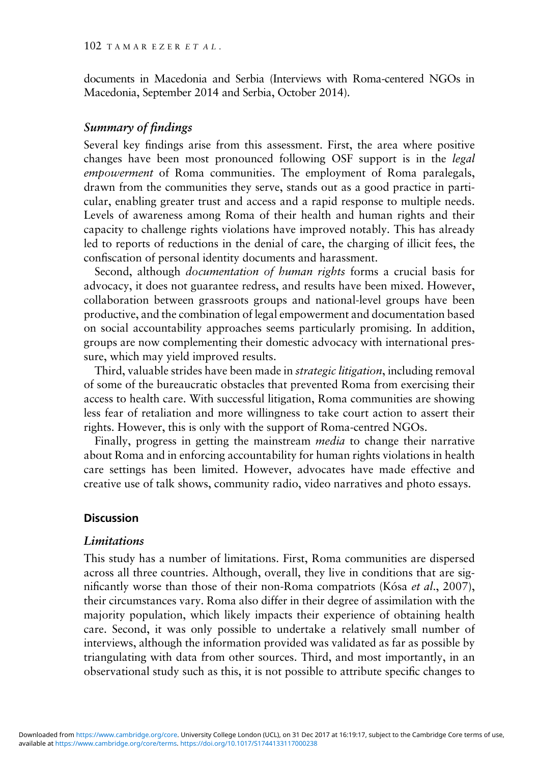documents in Macedonia and Serbia (Interviews with Roma-centered NGOs in Macedonia, September 2014 and Serbia, October 2014).

# Summary of findings

Several key findings arise from this assessment. First, the area where positive changes have been most pronounced following OSF support is in the legal empowerment of Roma communities. The employment of Roma paralegals, drawn from the communities they serve, stands out as a good practice in particular, enabling greater trust and access and a rapid response to multiple needs. Levels of awareness among Roma of their health and human rights and their capacity to challenge rights violations have improved notably. This has already led to reports of reductions in the denial of care, the charging of illicit fees, the confiscation of personal identity documents and harassment.

Second, although *documentation of human rights* forms a crucial basis for advocacy, it does not guarantee redress, and results have been mixed. However, collaboration between grassroots groups and national-level groups have been productive, and the combination of legal empowerment and documentation based on social accountability approaches seems particularly promising. In addition, groups are now complementing their domestic advocacy with international pressure, which may yield improved results.

Third, valuable strides have been made in *strategic litigation*, including removal of some of the bureaucratic obstacles that prevented Roma from exercising their access to health care. With successful litigation, Roma communities are showing less fear of retaliation and more willingness to take court action to assert their rights. However, this is only with the support of Roma-centred NGOs.

Finally, progress in getting the mainstream *media* to change their narrative about Roma and in enforcing accountability for human rights violations in health care settings has been limited. However, advocates have made effective and creative use of talk shows, community radio, video narratives and photo essays.

### **Discussion**

#### Limitations

This study has a number of limitations. First, Roma communities are dispersed across all three countries. Although, overall, they live in conditions that are significantly worse than those of their non-Roma compatriots (Kósa *et al.*, [2007](#page-13-0)), their circumstances vary. Roma also differ in their degree of assimilation with the majority population, which likely impacts their experience of obtaining health care. Second, it was only possible to undertake a relatively small number of interviews, although the information provided was validated as far as possible by triangulating with data from other sources. Third, and most importantly, in an observational study such as this, it is not possible to attribute specific changes to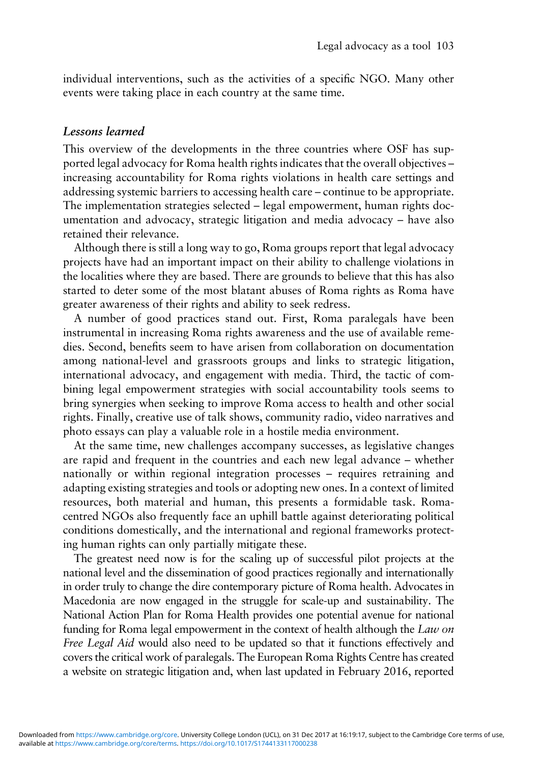individual interventions, such as the activities of a specific NGO. Many other events were taking place in each country at the same time.

## Lessons learned

This overview of the developments in the three countries where OSF has supported legal advocacy for Roma health rights indicates that the overall objectives – increasing accountability for Roma rights violations in health care settings and addressing systemic barriers to accessing health care – continue to be appropriate. The implementation strategies selected – legal empowerment, human rights documentation and advocacy, strategic litigation and media advocacy – have also retained their relevance.

Although there is still a long way to go, Roma groups report that legal advocacy projects have had an important impact on their ability to challenge violations in the localities where they are based. There are grounds to believe that this has also started to deter some of the most blatant abuses of Roma rights as Roma have greater awareness of their rights and ability to seek redress.

A number of good practices stand out. First, Roma paralegals have been instrumental in increasing Roma rights awareness and the use of available remedies. Second, benefits seem to have arisen from collaboration on documentation among national-level and grassroots groups and links to strategic litigation, international advocacy, and engagement with media. Third, the tactic of combining legal empowerment strategies with social accountability tools seems to bring synergies when seeking to improve Roma access to health and other social rights. Finally, creative use of talk shows, community radio, video narratives and photo essays can play a valuable role in a hostile media environment.

At the same time, new challenges accompany successes, as legislative changes are rapid and frequent in the countries and each new legal advance – whether nationally or within regional integration processes – requires retraining and adapting existing strategies and tools or adopting new ones. In a context of limited resources, both material and human, this presents a formidable task. Romacentred NGOs also frequently face an uphill battle against deteriorating political conditions domestically, and the international and regional frameworks protecting human rights can only partially mitigate these.

The greatest need now is for the scaling up of successful pilot projects at the national level and the dissemination of good practices regionally and internationally in order truly to change the dire contemporary picture of Roma health. Advocates in Macedonia are now engaged in the struggle for scale-up and sustainability. The National Action Plan for Roma Health provides one potential avenue for national funding for Roma legal empowerment in the context of health although the Law on Free Legal Aid would also need to be updated so that it functions effectively and covers the critical work of paralegals. The European Roma Rights Centre has created a website on strategic litigation and, when last updated in February 2016, reported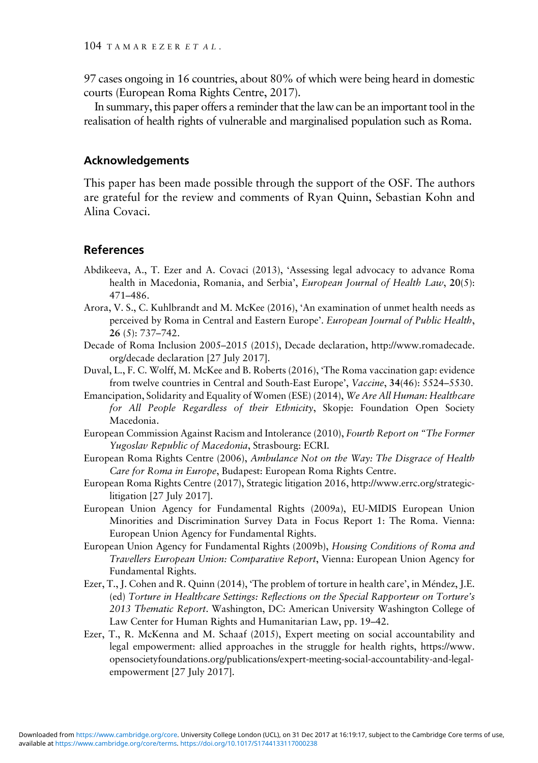<span id="page-12-0"></span>97 cases ongoing in 16 countries, about 80% of which were being heard in domestic courts (European Roma Rights Centre, 2017).

In summary, this paper offers a reminder that the law can be an important tool in the realisation of health rights of vulnerable and marginalised population such as Roma.

### Acknowledgements

This paper has been made possible through the support of the OSF. The authors are grateful for the review and comments of Ryan Quinn, Sebastian Kohn and Alina Covaci.

## References

- Abdikeeva, A., T. Ezer and A. Covaci (2013), 'Assessing legal advocacy to advance Roma health in Macedonia, Romania, and Serbia', European Journal of Health Law, 20(5): 471–486.
- Arora, V. S., C. Kuhlbrandt and M. McKee (2016), 'An examination of unmet health needs as perceived by Roma in Central and Eastern Europe'. European Journal of Public Health, 26 (5): 737–742.
- Decade of Roma Inclusion 2005–2015 (2015), Decade declaration, [http://www.romadecade.](http://www.romadecade.org/decade declaration ) [org/decade declaration \[](http://www.romadecade.org/decade declaration )27 July 2017].
- Duval, L., F. C. Wolff, M. McKee and B. Roberts (2016), 'The Roma vaccination gap: evidence from twelve countries in Central and South-East Europe', Vaccine, 34(46): 5524–5530.
- Emancipation, Solidarity and Equality of Women (ESE) (2014), We Are All Human: Healthcare for All People Regardless of their Ethnicity, Skopje: Foundation Open Society Macedonia.
- European Commission Against Racism and Intolerance (2010), Fourth Report on "The Former Yugoslav Republic of Macedonia, Strasbourg: ECRI.
- European Roma Rights Centre (2006), Ambulance Not on the Way: The Disgrace of Health Care for Roma in Europe, Budapest: European Roma Rights Centre.
- European Roma Rights Centre (2017), Strategic litigation 2016, [http://www.errc.org/strategic](http://www.errc.org/strategic-litigation)[litigation](http://www.errc.org/strategic-litigation) [27 July 2017].
- European Union Agency for Fundamental Rights (2009a), EU-MIDIS European Union Minorities and Discrimination Survey Data in Focus Report 1: The Roma. Vienna: European Union Agency for Fundamental Rights.
- European Union Agency for Fundamental Rights (2009b), Housing Conditions of Roma and Travellers European Union: Comparative Report, Vienna: European Union Agency for Fundamental Rights.
- Ezer, T., J. Cohen and R. Quinn (2014), 'The problem of torture in health care', in Méndez, J.E. (ed) Torture in Healthcare Settings: Reflections on the Special Rapporteur on Torture's 2013 Thematic Report. Washington, DC: American University Washington College of Law Center for Human Rights and Humanitarian Law, pp. 19–42.
- Ezer, T., R. McKenna and M. Schaaf (2015), Expert meeting on social accountability and legal empowerment: allied approaches in the struggle for health rights, [https://www.](https://www.opensocietyfoundations.org/publications/expert-meeting-social-accountability-and-legal-empowerment) [opensocietyfoundations.org/publications/expert-meeting-social-accountability-and-legal](https://www.opensocietyfoundations.org/publications/expert-meeting-social-accountability-and-legal-empowerment)[empowerment](https://www.opensocietyfoundations.org/publications/expert-meeting-social-accountability-and-legal-empowerment) [27 July 2017].